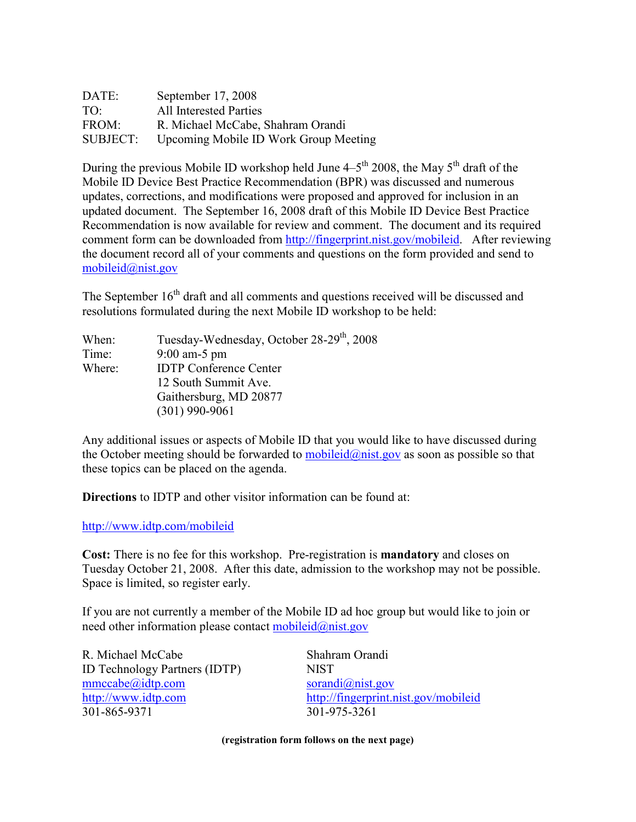| DATE:           | September 17, 2008                    |
|-----------------|---------------------------------------|
| TO <sup>1</sup> | All Interested Parties                |
| FROM:           | R. Michael McCabe, Shahram Orandi     |
| SUBJECT:        | Upcoming Mobile ID Work Group Meeting |

During the previous Mobile ID workshop held June  $4-5$ <sup>th</sup> 2008, the May  $5$ <sup>th</sup> draft of the Mobile ID Device Best Practice Recommendation (BPR) was discussed and numerous updates, corrections, and modifications were proposed and approved for inclusion in an updated document. The September 16, 2008 draft of this Mobile ID Device Best Practice Recommendation is now available for review and comment. The document and its required comment form can be downloaded from<http://fingerprint.nist.gov/mobileid>. After reviewing the document record all of your comments and questions on the form provided and send to  $mobileid@nist.gov$ 

The September  $16<sup>th</sup>$  draft and all comments and questions received will be discussed and resolutions formulated during the next Mobile ID workshop to be held:

| When:  | Tuesday-Wednesday, October 28-29 <sup>th</sup> , 2008 |
|--------|-------------------------------------------------------|
| Time:  | $9:00$ am-5 pm                                        |
| Where: | <b>IDTP</b> Conference Center                         |
|        | 12 South Summit Ave.                                  |
|        | Gaithersburg, MD 20877                                |
|        | $(301)$ 990-9061                                      |

 Any additional issues or aspects of Mobile ID that you would like to have discussed during the October meeting should be forwarded to **[mobileid@nist.gov](mailto:mobileid@nist.gov)** as soon as possible so that these topics can be placed on the agenda.

Directions to IDTP and other visitor information can be found at:

<http://www.idtp.com/mobileid>

Cost: There is no fee for this workshop. Pre-registration is mandatory and closes on Tuesday October 21, 2008. After this date, admission to the workshop may not be possible. Space is limited, so register early.

 If you are not currently a member of the Mobile ID ad hoc group but would like to join or need other information please contact **mobileid@nist.gov** 

R. Michael McCabe Shahram Orandi ID Technology Partners (IDTP) NIST [mmccabe@idtp.com](mailto:mmccabe@idtp.com) sorandi@nist.gov http://www.idtp.com 301-865-9371

http://fingerprint.nist.gov/mobileid 301-865-9371 301-975-3261

(registration form follows on the next page)